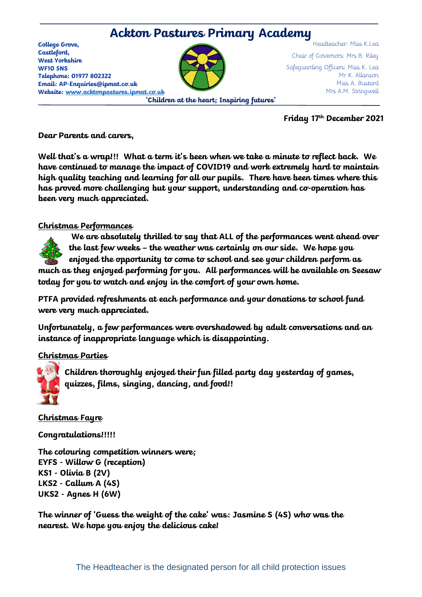

**Friday 17th December 2021**

#### **Dear Parents and carers,**

**Well that's a wrap!!! What a term it's been when we take a minute to reflect back. We have continued to manage the impact of COVID19 and work extremely hard to maintain high quality teaching and learning for all our pupils. There have been times where this has proved more challenging but your support, understanding and co-operation has been very much appreciated.**

### **Christmas Performances**

**We are absolutely thrilled to say that ALL of the performances went ahead over the last few weeks – the weather was certainly on our side. We hope you** 

**enjoyed the opportunity to come to school and see your children perform as much as they enjoyed performing for you. All performances will be available on Seesaw today for you to watch and enjoy in the comfort of your own home.** 

**PTFA provided refreshments at each performance and your donations to school fund were very much appreciated.** 

**Unfortunately, a few performances were overshadowed by adult conversations and an instance of inappropriate language which is disappointing.**

# **Christmas Parties**



**Children thoroughly enjoyed their fun filled party day yesterday of games, quizzes, films, singing, dancing, and food!!** 

**Christmas Fayre**

**Congratulations!!!!!**

**The colouring competition winners were; EYFS - Willow G (reception) KS1 - Olivia B (2V) LKS2 - Callum A (4S) UKS2 - Agnes H (6W)**

**The winner of 'Guess the weight of the cake' was: Jasmine S (4S) who was the nearest. We hope you enjoy the delicious cake!**